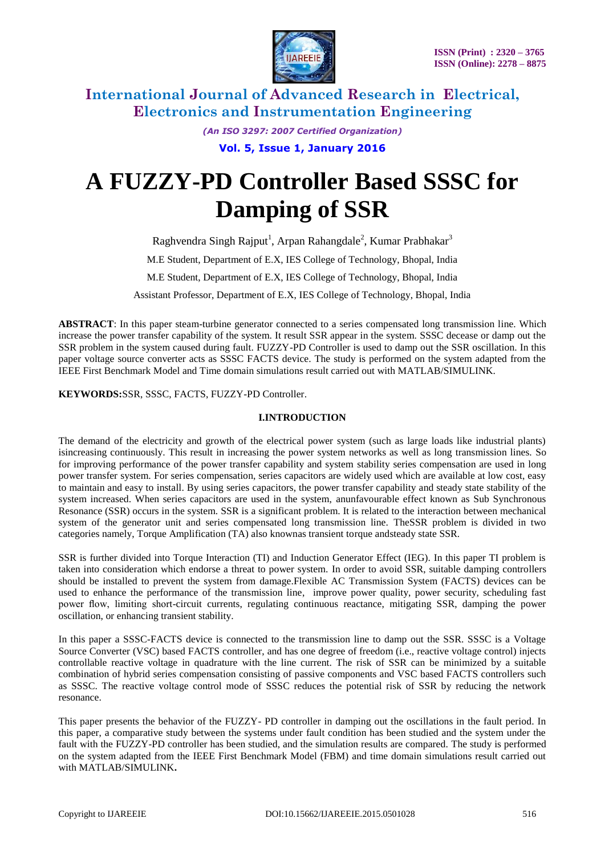

*(An ISO 3297: 2007 Certified Organization)*

**Vol. 5, Issue 1, January 2016**

# **A FUZZY-PD Controller Based SSSC for Damping of SSR**

Raghvendra Singh Rajput<sup>1</sup>, Arpan Rahangdale<sup>2</sup>, Kumar Prabhakar<sup>3</sup>

M.E Student, Department of E.X, IES College of Technology, Bhopal, India

M.E Student, Department of E.X, IES College of Technology, Bhopal, India

Assistant Professor, Department of E.X, IES College of Technology, Bhopal, India

**ABSTRACT**: In this paper steam-turbine generator connected to a series compensated long transmission line. Which increase the power transfer capability of the system. It result SSR appear in the system. SSSC decease or damp out the SSR problem in the system caused during fault. FUZZY-PD Controller is used to damp out the SSR oscillation. In this paper voltage source converter acts as SSSC FACTS device. The study is performed on the system adapted from the IEEE First Benchmark Model and Time domain simulations result carried out with MATLAB/SIMULINK.

**KEYWORDS:**SSR, SSSC, FACTS, FUZZY-PD Controller.

#### **I.INTRODUCTION**

The demand of the electricity and growth of the electrical power system (such as large loads like industrial plants) isincreasing continuously. This result in increasing the power system networks as well as long transmission lines. So for improving performance of the power transfer capability and system stability series compensation are used in long power transfer system. For series compensation, series capacitors are widely used which are available at low cost, easy to maintain and easy to install. By using series capacitors, the power transfer capability and steady state stability of the system increased. When series capacitors are used in the system, anunfavourable effect known as Sub Synchronous Resonance (SSR) occurs in the system. SSR is a significant problem. It is related to the interaction between mechanical system of the generator unit and series compensated long transmission line. TheSSR problem is divided in two categories namely, Torque Amplification (TA) also knownas transient torque andsteady state SSR.

SSR is further divided into Torque Interaction (TI) and Induction Generator Effect (IEG). In this paper TI problem is taken into consideration which endorse a threat to power system. In order to avoid SSR, suitable damping controllers should be installed to prevent the system from damage.Flexible AC Transmission System (FACTS) devices can be used to enhance the performance of the transmission line, improve power quality, power security, scheduling fast power flow, limiting short-circuit currents, regulating continuous reactance, mitigating SSR, damping the power oscillation, or enhancing transient stability.

In this paper a SSSC-FACTS device is connected to the transmission line to damp out the SSR. SSSC is a Voltage Source Converter (VSC) based FACTS controller, and has one degree of freedom (i.e., reactive voltage control) injects controllable reactive voltage in quadrature with the line current. The risk of SSR can be minimized by a suitable combination of hybrid series compensation consisting of passive components and VSC based FACTS controllers such as SSSC. The reactive voltage control mode of SSSC reduces the potential risk of SSR by reducing the network resonance.

This paper presents the behavior of the FUZZY- PD controller in damping out the oscillations in the fault period. In this paper, a comparative study between the systems under fault condition has been studied and the system under the fault with the FUZZY-PD controller has been studied, and the simulation results are compared. The study is performed on the system adapted from the IEEE First Benchmark Model (FBM) and time domain simulations result carried out with MATLAB/SIMULINK**.**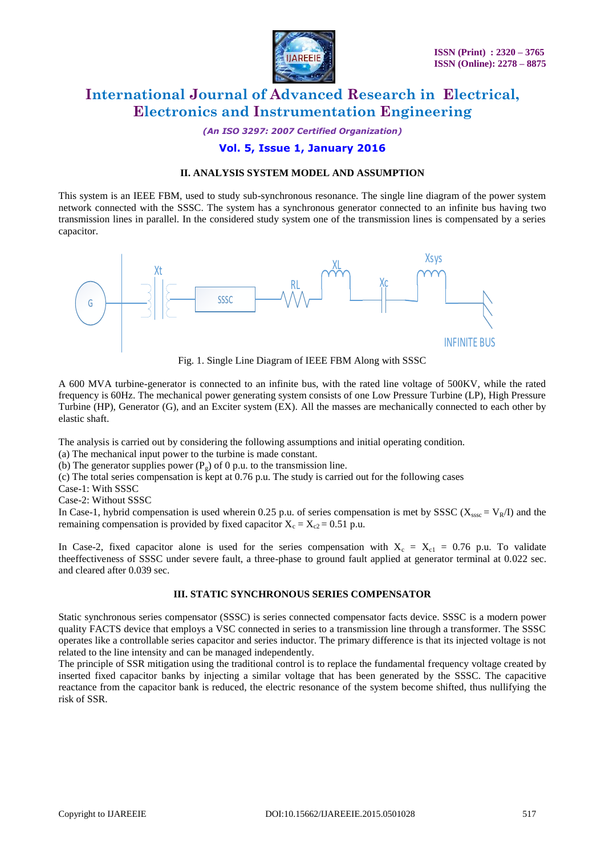

*(An ISO 3297: 2007 Certified Organization)*

### **Vol. 5, Issue 1, January 2016**

#### **II. ANALYSIS SYSTEM MODEL AND ASSUMPTION**

This system is an IEEE FBM, used to study sub-synchronous resonance. The single line diagram of the power system network connected with the SSSC. The system has a synchronous generator connected to an infinite bus having two transmission lines in parallel. In the considered study system one of the transmission lines is compensated by a series capacitor.



Fig. 1. Single Line Diagram of IEEE FBM Along with SSSC

A 600 MVA turbine-generator is connected to an infinite bus, with the rated line voltage of 500KV, while the rated frequency is 60Hz. The mechanical power generating system consists of one Low Pressure Turbine (LP), High Pressure Turbine (HP), Generator (G), and an Exciter system (EX). All the masses are mechanically connected to each other by elastic shaft.

The analysis is carried out by considering the following assumptions and initial operating condition.

(a) The mechanical input power to the turbine is made constant.

(b) The generator supplies power  $(P_g)$  of 0 p.u. to the transmission line.

(c) The total series compensation is kept at 0.76 p.u. The study is carried out for the following cases

Case-1: With SSSC

Case-2: Without SSSC

In Case-1, hybrid compensation is used wherein 0.25 p.u. of series compensation is met by SSSC ( $X_{sssc} = V_R/I$ ) and the remaining compensation is provided by fixed capacitor  $X_c = X_{c2} = 0.51$  p.u.

In Case-2, fixed capacitor alone is used for the series compensation with  $X_c = X_{c1} = 0.76$  p.u. To validate theeffectiveness of SSSC under severe fault, a three-phase to ground fault applied at generator terminal at 0.022 sec. and cleared after 0.039 sec.

### **III. STATIC SYNCHRONOUS SERIES COMPENSATOR**

Static synchronous series compensator (SSSC) is series connected compensator facts device. SSSC is a modern power quality FACTS device that employs a VSC connected in series to a transmission line through a transformer. The SSSC operates like a controllable series capacitor and series inductor. The primary difference is that its injected voltage is not related to the line intensity and can be managed independently.

The principle of SSR mitigation using the traditional control is to replace the fundamental frequency voltage created by inserted fixed capacitor banks by injecting a similar voltage that has been generated by the SSSC. The capacitive reactance from the capacitor bank is reduced, the electric resonance of the system become shifted, thus nullifying the risk of SSR.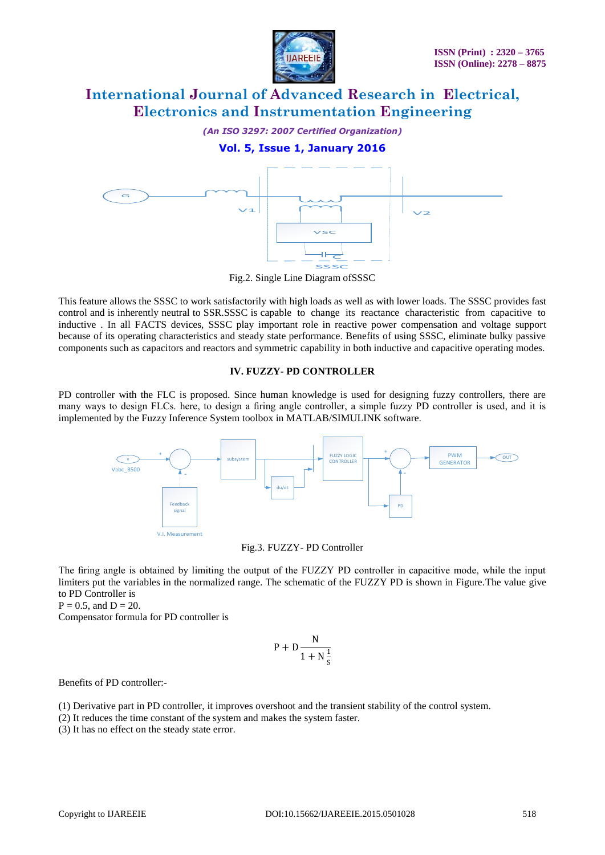

*(An ISO 3297: 2007 Certified Organization)*

### **Vol. 5, Issue 1, January 2016**



Fig.2. Single Line Diagram ofSSSC

This feature allows the SSSC to work satisfactorily with high loads as well as with lower loads. The SSSC provides fast control and is inherently neutral to SSR.SSSC is capable to change its reactance characteristic from capacitive to inductive . In all FACTS devices, SSSC play important role in reactive power compensation and voltage support because of its operating characteristics and steady state performance. Benefits of using SSSC, eliminate bulky passive components such as capacitors and reactors and symmetric capability in both inductive and capacitive operating modes.

#### **IV. FUZZY- PD CONTROLLER**

PD controller with the FLC is proposed. Since human knowledge is used for designing fuzzy controllers, there are many ways to design FLCs. here, to design a firing angle controller, a simple fuzzy PD controller is used, and it is implemented by the Fuzzy Inference System toolbox in MATLAB/SIMULINK software.



Fig.3. FUZZY- PD Controller

The firing angle is obtained by limiting the output of the FUZZY PD controller in capacitive mode, while the input limiters put the variables in the normalized range. The schematic of the FUZZY PD is shown in Figure.The value give to PD Controller is

 $P = 0.5$ , and  $D = 20$ .

Compensator formula for PD controller is

$$
P + D \frac{N}{1 + N\frac{1}{s}}
$$

Benefits of PD controller:-

(1) Derivative part in PD controller, it improves overshoot and the transient stability of the control system.

(2) It reduces the time constant of the system and makes the system faster.

(3) It has no effect on the steady state error.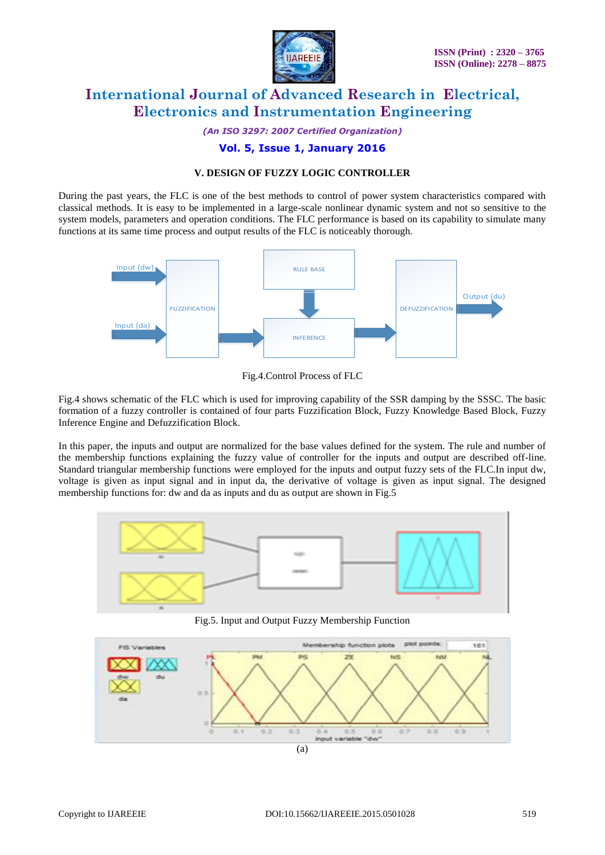

*(An ISO 3297: 2007 Certified Organization)*

### **Vol. 5, Issue 1, January 2016**

#### **V. DESIGN OF FUZZY LOGIC CONTROLLER**

During the past years, the FLC is one of the best methods to control of power system characteristics compared with classical methods. It is easy to be implemented in a large-scale nonlinear dynamic system and not so sensitive to the system models, parameters and operation conditions. The FLC performance is based on its capability to simulate many functions at its same time process and output results of the FLC is noticeably thorough.



Fig.4.Control Process of FLC

Fig.4 shows schematic of the FLC which is used for improving capability of the SSR damping by the SSSC. The basic formation of a fuzzy controller is contained of four parts Fuzzification Block, Fuzzy Knowledge Based Block, Fuzzy Inference Engine and Defuzzification Block.

In this paper, the inputs and output are normalized for the base values defined for the system. The rule and number of the membership functions explaining the fuzzy value of controller for the inputs and output are described off-line. Standard triangular membership functions were employed for the inputs and output fuzzy sets of the FLC.In input dw, voltage is given as input signal and in input da, the derivative of voltage is given as input signal. The designed membership functions for: dw and da as inputs and du as output are shown in Fig.5



Fig.5. Input and Output Fuzzy Membership Function

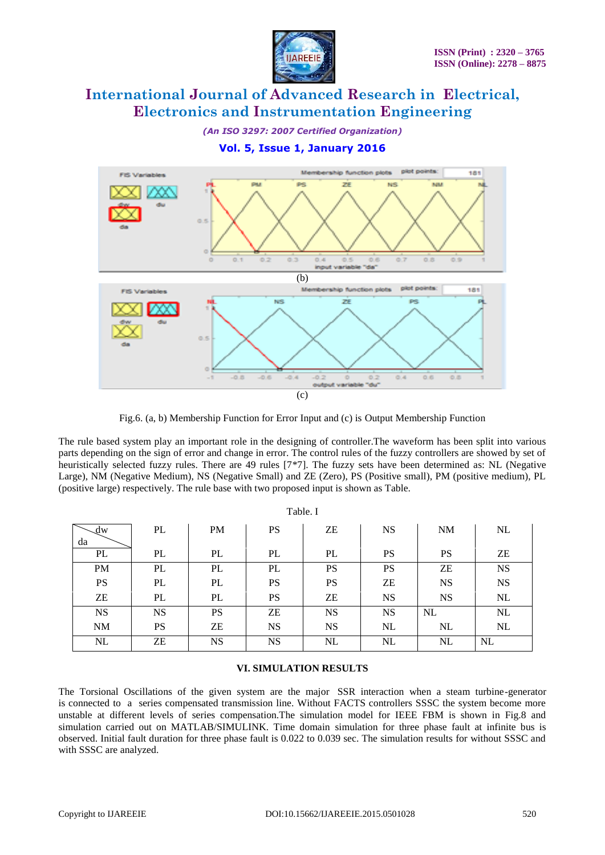

*(An ISO 3297: 2007 Certified Organization)*

### **Vol. 5, Issue 1, January 2016**



Fig.6. (a, b) Membership Function for Error Input and (c) is Output Membership Function

The rule based system play an important role in the designing of controller.The waveform has been split into various parts depending on the sign of error and change in error. The control rules of the fuzzy controllers are showed by set of heuristically selected fuzzy rules. There are 49 rules [7\*7]. The fuzzy sets have been determined as: NL (Negative Large), NM (Negative Medium), NS (Negative Small) and ZE (Zero), PS (Positive small), PM (positive medium), PL (positive large) respectively. The rule base with two proposed input is shown as Table.

Table. I

| Table. I                         |           |           |           |           |           |           |           |
|----------------------------------|-----------|-----------|-----------|-----------|-----------|-----------|-----------|
| $\mathcal{A}^{\mathbf{w}}$<br>da | PL        | <b>PM</b> | PS        | ZΕ        | <b>NS</b> | <b>NM</b> | NL        |
| PL                               | PL        | PL        | PL        | PL        | <b>PS</b> | <b>PS</b> | ZE        |
| <b>PM</b>                        | PL        | PL        | PL        | <b>PS</b> | PS        | ZE        | <b>NS</b> |
| <b>PS</b>                        | PL        | PL        | PS        | <b>PS</b> | ZΕ        | <b>NS</b> | <b>NS</b> |
| ${\rm ZE}$                       | PL        | PL        | PS        | ZΕ        | <b>NS</b> | <b>NS</b> | $\rm NL$  |
| <b>NS</b>                        | <b>NS</b> | <b>PS</b> | ZΕ        | <b>NS</b> | <b>NS</b> | NL        | NL        |
| $\rm{NM}$                        | <b>PS</b> | ZE        | <b>NS</b> | <b>NS</b> | NL        | NL        | $\rm NL$  |
| $\rm NL$                         | ZΕ        | <b>NS</b> | <b>NS</b> | NL        | NL        | NL        | <b>NL</b> |

#### **VI. SIMULATION RESULTS**

The Torsional Oscillations of the given system are the major SSR interaction when a steam turbine-generator is connected to a series compensated transmission line. Without FACTS controllers SSSC the system become more unstable at different levels of series compensation.The simulation model for IEEE FBM is shown in Fig.8 and simulation carried out on MATLAB/SIMULINK. Time domain simulation for three phase fault at infinite bus is observed. Initial fault duration for three phase fault is 0.022 to 0.039 sec. The simulation results for without SSSC and with SSSC are analyzed.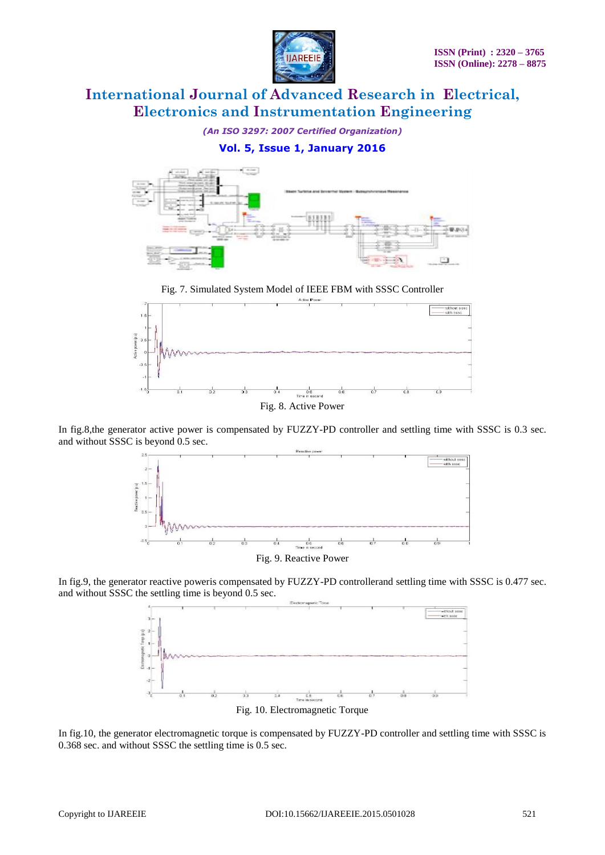

*(An ISO 3297: 2007 Certified Organization)*

### **Vol. 5, Issue 1, January 2016**



Fig. 7. Simulated System Model of IEEE FBM with SSSC Controller



Fig. 8. Active Power

In fig.8,the generator active power is compensated by FUZZY-PD controller and settling time with SSSC is 0.3 sec. and without SSSC is beyond 0.5 sec.



Fig. 9. Reactive Power

In fig.9, the generator reactive poweris compensated by FUZZY-PD controllerand settling time with SSSC is 0.477 sec. and without SSSC the settling time is beyond 0.5 sec.



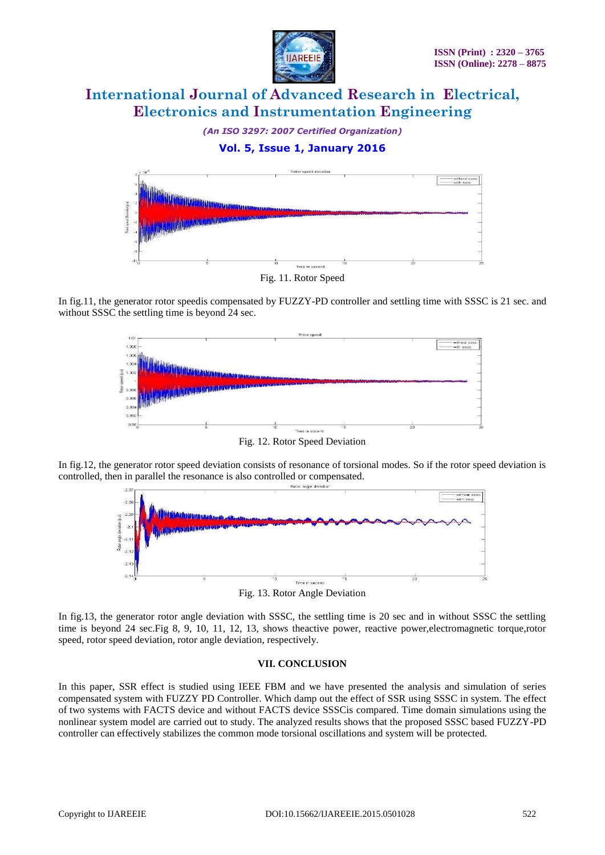

*(An ISO 3297: 2007 Certified Organization)*

## **Vol. 5, Issue 1, January 2016**



Fig. 11. Rotor Speed

In fig.11, the generator rotor speedis compensated by FUZZY-PD controller and settling time with SSSC is 21 sec. and without SSSC the settling time is beyond 24 sec.



Fig. 12. Rotor Speed Deviation

In fig.12, the generator rotor speed deviation consists of resonance of torsional modes. So if the rotor speed deviation is controlled, then in parallel the resonance is also controlled or compensated.



Fig. 13. Rotor Angle Deviation

In fig.13, the generator rotor angle deviation with SSSC, the settling time is 20 sec and in without SSSC the settling time is beyond 24 sec.Fig 8, 9, 10, 11, 12, 13, shows theactive power, reactive power,electromagnetic torque,rotor speed, rotor speed deviation, rotor angle deviation, respectively.

#### **VII. CONCLUSION**

In this paper, SSR effect is studied using IEEE FBM and we have presented the analysis and simulation of series compensated system with FUZZY PD Controller. Which damp out the effect of SSR using SSSC in system. The effect of two systems with FACTS device and without FACTS device SSSCis compared. Time domain simulations using the nonlinear system model are carried out to study. The analyzed results shows that the proposed SSSC based FUZZY-PD controller can effectively stabilizes the common mode torsional oscillations and system will be protected.